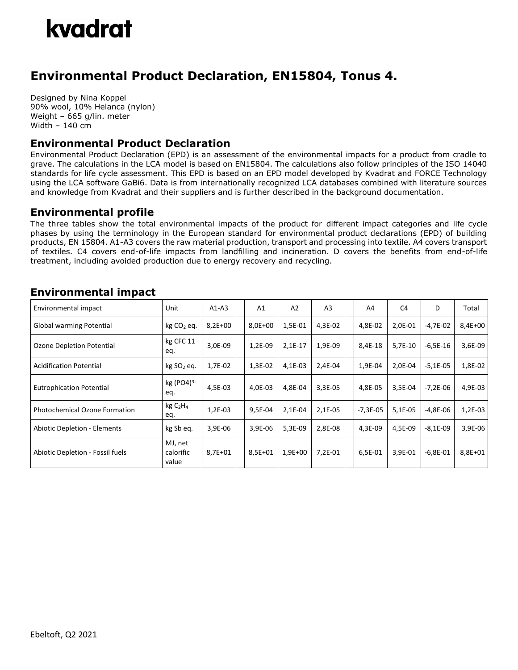## kvadrat

### **Environmental Product Declaration, EN15804, Tonus 4.**

Designed by Nina Koppel 90% wool, 10% Helanca (nylon) Weight – 665 g/lin. meter Width – 140 cm

#### **Environmental Product Declaration**

Environmental Product Declaration (EPD) is an assessment of the environmental impacts for a product from cradle to grave. The calculations in the LCA model is based on EN15804. The calculations also follow principles of the ISO 14040 standards for life cycle assessment. This EPD is based on an EPD model developed by Kvadrat and FORCE Technology using the LCA software GaBi6. Data is from internationally recognized LCA databases combined with literature sources and knowledge from Kvadrat and their suppliers and is further described in the background documentation.

#### **Environmental profile**

The three tables show the total environmental impacts of the product for different impact categories and life cycle phases by using the terminology in the European standard for environmental product declarations (EPD) of building products, EN 15804. A1-A3 covers the raw material production, transport and processing into textile. A4 covers transport of textiles. C4 covers end-of-life impacts from landfilling and incineration. D covers the benefits from end-of-life treatment, including avoided production due to energy recovery and recycling.

| Environmental impact                 | Unit                                    | $A1-A3$   | A1        | A <sub>2</sub> | A <sub>3</sub> | A4         | C4        | D          | Total   |
|--------------------------------------|-----------------------------------------|-----------|-----------|----------------|----------------|------------|-----------|------------|---------|
| Global warming Potential             | $kg CO2$ eq.                            | $8,2E+00$ | $8,0E+00$ | 1,5E-01        | 4,3E-02        | 4,8E-02    | 2,0E-01   | $-4,7E-02$ | 8,4E+00 |
| Ozone Depletion Potential            | kg CFC 11<br>eq.                        | 3,0E-09   | 1,2E-09   | $2,1E-17$      | 1,9E-09        | 8,4E-18    | $5,7E-10$ | $-6,5E-16$ | 3,6E-09 |
| <b>Acidification Potential</b>       | kg SO <sub>2</sub> eq.                  | 1,7E-02   | 1,3E-02   | 4,1E-03        | 2,4E-04        | 1,9E-04    | 2,0E-04   | $-5,1E-05$ | 1,8E-02 |
| <b>Eutrophication Potential</b>      | kg $(PO4)^3$<br>eq.                     | 4,5E-03   | 4,0E-03   | 4,8E-04        | 3,3E-05        | 4,8E-05    | 3,5E-04   | $-7,2E-06$ | 4,9E-03 |
| <b>Photochemical Ozone Formation</b> | kg C <sub>2</sub> H <sub>4</sub><br>eq. | $1,2E-03$ | 9,5E-04   | 2,1E-04        | 2,1E-05        | $-7,3E-05$ | 5,1E-05   | $-4,8E-06$ | 1,2E-03 |
| <b>Abiotic Depletion - Elements</b>  | kg Sb eq.                               | 3,9E-06   | 3,9E-06   | 5,3E-09        | 2,8E-08        | 4,3E-09    | 4,5E-09   | $-8,1E-09$ | 3,9E-06 |
| Abiotic Depletion - Fossil fuels     | MJ, net<br>calorific<br>value           | $8,7E+01$ | $8,5E+01$ | $1,9E+00$      | 7,2E-01        | 6,5E-01    | 3,9E-01   | $-6,8E-01$ | 8,8E+01 |

#### **Environmental impact**